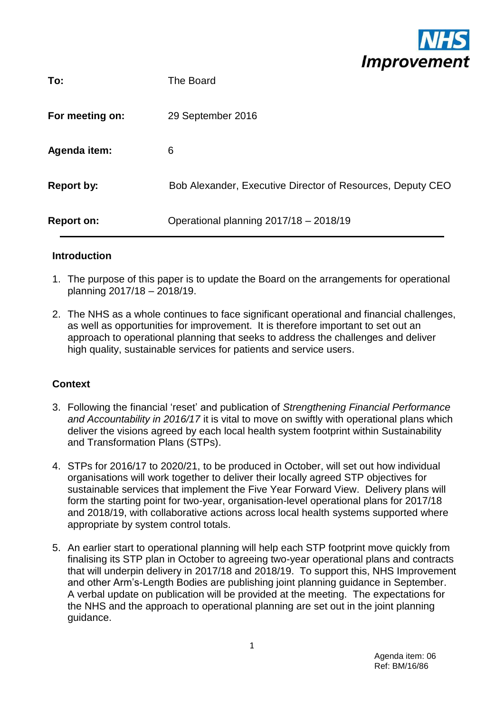

| To:               | The Board                                                  |
|-------------------|------------------------------------------------------------|
| For meeting on:   | 29 September 2016                                          |
| Agenda item:      | 6                                                          |
| <b>Report by:</b> | Bob Alexander, Executive Director of Resources, Deputy CEO |
| <b>Report on:</b> | Operational planning 2017/18 - 2018/19                     |

#### **Introduction**

- 1. The purpose of this paper is to update the Board on the arrangements for operational planning 2017/18 – 2018/19.
- 2. The NHS as a whole continues to face significant operational and financial challenges, as well as opportunities for improvement. It is therefore important to set out an approach to operational planning that seeks to address the challenges and deliver high quality, sustainable services for patients and service users.

### **Context**

- 3. Following the financial 'reset' and publication of *Strengthening Financial Performance and Accountability in 2016/17* it is vital to move on swiftly with operational plans which deliver the visions agreed by each local health system footprint within Sustainability and Transformation Plans (STPs).
- 4. STPs for 2016/17 to 2020/21, to be produced in October, will set out how individual organisations will work together to deliver their locally agreed STP objectives for sustainable services that implement the Five Year Forward View. Delivery plans will form the starting point for two-year, organisation-level operational plans for 2017/18 and 2018/19, with collaborative actions across local health systems supported where appropriate by system control totals.
- 5. An earlier start to operational planning will help each STP footprint move quickly from finalising its STP plan in October to agreeing two-year operational plans and contracts that will underpin delivery in 2017/18 and 2018/19. To support this, NHS Improvement and other Arm's-Length Bodies are publishing joint planning guidance in September. A verbal update on publication will be provided at the meeting. The expectations for the NHS and the approach to operational planning are set out in the joint planning guidance.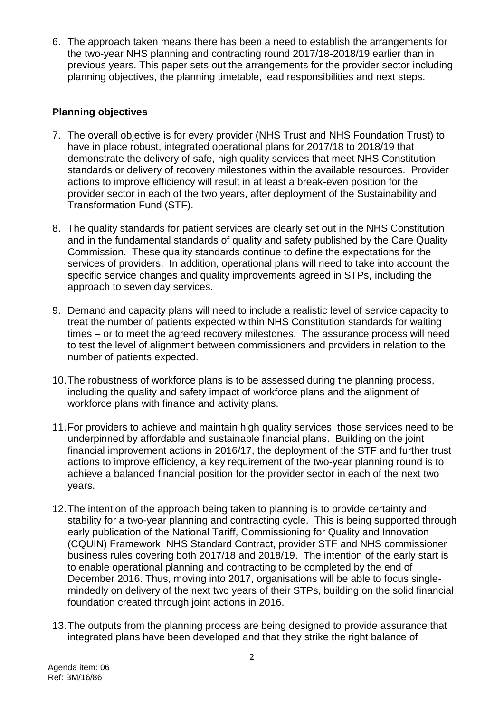6. The approach taken means there has been a need to establish the arrangements for the two-year NHS planning and contracting round 2017/18-2018/19 earlier than in previous years. This paper sets out the arrangements for the provider sector including planning objectives, the planning timetable, lead responsibilities and next steps.

### **Planning objectives**

- 7. The overall objective is for every provider (NHS Trust and NHS Foundation Trust) to have in place robust, integrated operational plans for 2017/18 to 2018/19 that demonstrate the delivery of safe, high quality services that meet NHS Constitution standards or delivery of recovery milestones within the available resources. Provider actions to improve efficiency will result in at least a break-even position for the provider sector in each of the two years, after deployment of the Sustainability and Transformation Fund (STF).
- 8. The quality standards for patient services are clearly set out in the NHS Constitution and in the fundamental standards of quality and safety published by the Care Quality Commission. These quality standards continue to define the expectations for the services of providers. In addition, operational plans will need to take into account the specific service changes and quality improvements agreed in STPs, including the approach to seven day services.
- 9. Demand and capacity plans will need to include a realistic level of service capacity to treat the number of patients expected within NHS Constitution standards for waiting times – or to meet the agreed recovery milestones. The assurance process will need to test the level of alignment between commissioners and providers in relation to the number of patients expected.
- 10.The robustness of workforce plans is to be assessed during the planning process, including the quality and safety impact of workforce plans and the alignment of workforce plans with finance and activity plans.
- 11.For providers to achieve and maintain high quality services, those services need to be underpinned by affordable and sustainable financial plans. Building on the joint financial improvement actions in 2016/17, the deployment of the STF and further trust actions to improve efficiency, a key requirement of the two-year planning round is to achieve a balanced financial position for the provider sector in each of the next two years.
- 12.The intention of the approach being taken to planning is to provide certainty and stability for a two-year planning and contracting cycle. This is being supported through early publication of the National Tariff, Commissioning for Quality and Innovation (CQUIN) Framework, NHS Standard Contract, provider STF and NHS commissioner business rules covering both 2017/18 and 2018/19. The intention of the early start is to enable operational planning and contracting to be completed by the end of December 2016. Thus, moving into 2017, organisations will be able to focus singlemindedly on delivery of the next two years of their STPs, building on the solid financial foundation created through joint actions in 2016.
- 13.The outputs from the planning process are being designed to provide assurance that integrated plans have been developed and that they strike the right balance of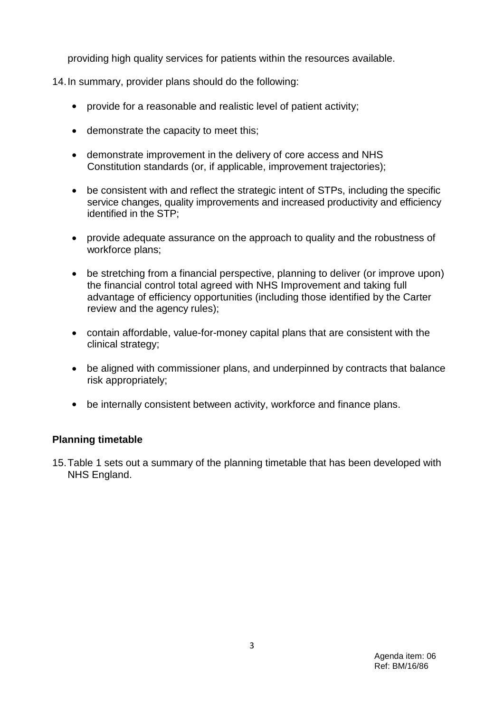providing high quality services for patients within the resources available.

14.In summary, provider plans should do the following:

- provide for a reasonable and realistic level of patient activity;
- demonstrate the capacity to meet this;
- demonstrate improvement in the delivery of core access and NHS Constitution standards (or, if applicable, improvement trajectories);
- be consistent with and reflect the strategic intent of STPs, including the specific service changes, quality improvements and increased productivity and efficiency identified in the STP;
- provide adequate assurance on the approach to quality and the robustness of workforce plans;
- be stretching from a financial perspective, planning to deliver (or improve upon) the financial control total agreed with NHS Improvement and taking full advantage of efficiency opportunities (including those identified by the Carter review and the agency rules);
- contain affordable, value-for-money capital plans that are consistent with the clinical strategy;
- be aligned with commissioner plans, and underpinned by contracts that balance risk appropriately;
- be internally consistent between activity, workforce and finance plans.

### **Planning timetable**

15.Table 1 sets out a summary of the planning timetable that has been developed with NHS England.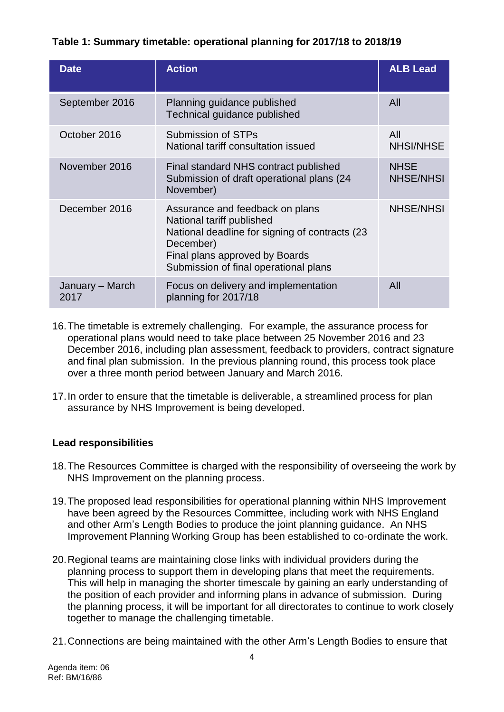# **Table 1: Summary timetable: operational planning for 2017/18 to 2018/19**

| <b>Date</b>             | <b>Action</b>                                                                                                                                                                                           | <b>ALB Lead</b>                 |
|-------------------------|---------------------------------------------------------------------------------------------------------------------------------------------------------------------------------------------------------|---------------------------------|
| September 2016          | Planning guidance published<br>Technical guidance published                                                                                                                                             | All                             |
| October 2016            | Submission of STPs<br>National tariff consultation issued                                                                                                                                               | All<br><b>NHSI/NHSE</b>         |
| November 2016           | Final standard NHS contract published<br>Submission of draft operational plans (24)<br>November)                                                                                                        | <b>NHSE</b><br><b>NHSE/NHSI</b> |
| December 2016           | Assurance and feedback on plans<br>National tariff published<br>National deadline for signing of contracts (23)<br>December)<br>Final plans approved by Boards<br>Submission of final operational plans | <b>NHSE/NHSI</b>                |
| January – March<br>2017 | Focus on delivery and implementation<br>planning for 2017/18                                                                                                                                            | All                             |

- 16.The timetable is extremely challenging. For example, the assurance process for operational plans would need to take place between 25 November 2016 and 23 December 2016, including plan assessment, feedback to providers, contract signature and final plan submission. In the previous planning round, this process took place over a three month period between January and March 2016.
- 17.In order to ensure that the timetable is deliverable, a streamlined process for plan assurance by NHS Improvement is being developed.

### **Lead responsibilities**

- 18.The Resources Committee is charged with the responsibility of overseeing the work by NHS Improvement on the planning process.
- 19.The proposed lead responsibilities for operational planning within NHS Improvement have been agreed by the Resources Committee, including work with NHS England and other Arm's Length Bodies to produce the joint planning guidance. An NHS Improvement Planning Working Group has been established to co-ordinate the work.
- 20.Regional teams are maintaining close links with individual providers during the planning process to support them in developing plans that meet the requirements. This will help in managing the shorter timescale by gaining an early understanding of the position of each provider and informing plans in advance of submission. During the planning process, it will be important for all directorates to continue to work closely together to manage the challenging timetable.
- 21.Connections are being maintained with the other Arm's Length Bodies to ensure that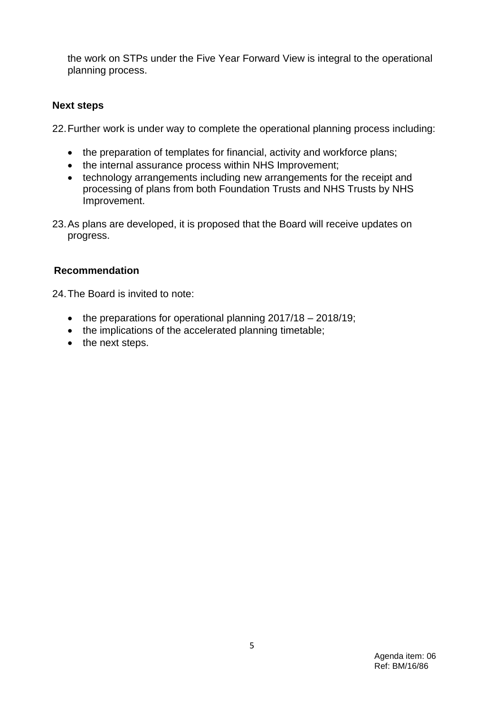the work on STPs under the Five Year Forward View is integral to the operational planning process.

### **Next steps**

22.Further work is under way to complete the operational planning process including:

- the preparation of templates for financial, activity and workforce plans;
- the internal assurance process within NHS Improvement;
- technology arrangements including new arrangements for the receipt and processing of plans from both Foundation Trusts and NHS Trusts by NHS Improvement.
- 23.As plans are developed, it is proposed that the Board will receive updates on progress.

## **Recommendation**

24.The Board is invited to note:

- the preparations for operational planning 2017/18 2018/19;
- the implications of the accelerated planning timetable;
- the next steps.